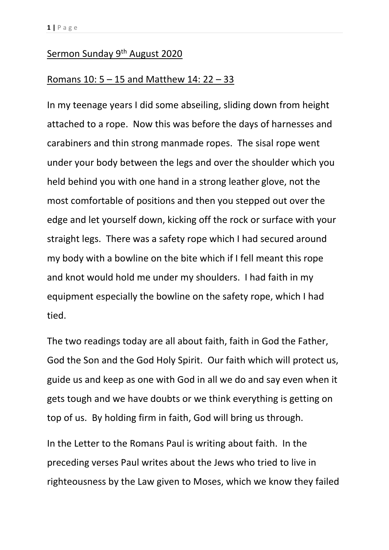## Sermon Sunday 9th August 2020

## Romans 10: 5 – 15 and Matthew 14: 22 – 33

In my teenage years I did some abseiling, sliding down from height attached to a rope. Now this was before the days of harnesses and carabiners and thin strong manmade ropes. The sisal rope went under your body between the legs and over the shoulder which you held behind you with one hand in a strong leather glove, not the most comfortable of positions and then you stepped out over the edge and let yourself down, kicking off the rock or surface with your straight legs. There was a safety rope which I had secured around my body with a bowline on the bite which if I fell meant this rope and knot would hold me under my shoulders. I had faith in my equipment especially the bowline on the safety rope, which I had tied.

The two readings today are all about faith, faith in God the Father, God the Son and the God Holy Spirit. Our faith which will protect us, guide us and keep as one with God in all we do and say even when it gets tough and we have doubts or we think everything is getting on top of us. By holding firm in faith, God will bring us through.

In the Letter to the Romans Paul is writing about faith. In the preceding verses Paul writes about the Jews who tried to live in righteousness by the Law given to Moses, which we know they failed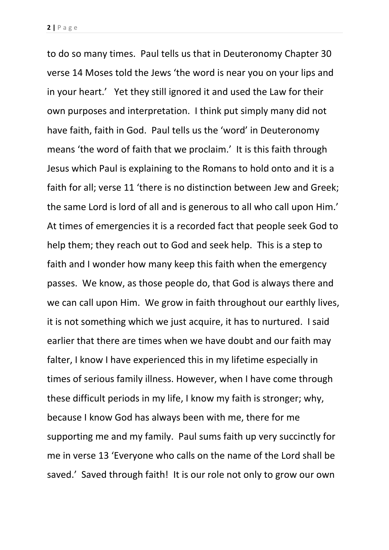to do so many times. Paul tells us that in Deuteronomy Chapter 30 verse 14 Moses told the Jews 'the word is near you on your lips and in your heart.' Yet they still ignored it and used the Law for their own purposes and interpretation. I think put simply many did not have faith, faith in God. Paul tells us the 'word' in Deuteronomy means 'the word of faith that we proclaim.' It is this faith through Jesus which Paul is explaining to the Romans to hold onto and it is a faith for all; verse 11 'there is no distinction between Jew and Greek; the same Lord is lord of all and is generous to all who call upon Him.' At times of emergencies it is a recorded fact that people seek God to help them; they reach out to God and seek help. This is a step to faith and I wonder how many keep this faith when the emergency passes. We know, as those people do, that God is always there and we can call upon Him. We grow in faith throughout our earthly lives, it is not something which we just acquire, it has to nurtured. I said earlier that there are times when we have doubt and our faith may falter, I know I have experienced this in my lifetime especially in times of serious family illness. However, when I have come through these difficult periods in my life, I know my faith is stronger; why, because I know God has always been with me, there for me supporting me and my family. Paul sums faith up very succinctly for me in verse 13 'Everyone who calls on the name of the Lord shall be saved.' Saved through faith! It is our role not only to grow our own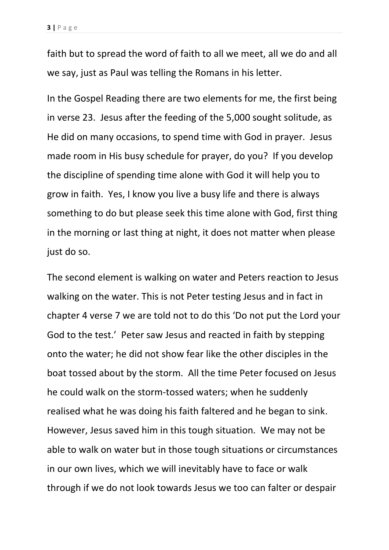faith but to spread the word of faith to all we meet, all we do and all we say, just as Paul was telling the Romans in his letter.

In the Gospel Reading there are two elements for me, the first being in verse 23. Jesus after the feeding of the 5,000 sought solitude, as He did on many occasions, to spend time with God in prayer. Jesus made room in His busy schedule for prayer, do you? If you develop the discipline of spending time alone with God it will help you to grow in faith. Yes, I know you live a busy life and there is always something to do but please seek this time alone with God, first thing in the morning or last thing at night, it does not matter when please just do so.

The second element is walking on water and Peters reaction to Jesus walking on the water. This is not Peter testing Jesus and in fact in chapter 4 verse 7 we are told not to do this 'Do not put the Lord your God to the test.' Peter saw Jesus and reacted in faith by stepping onto the water; he did not show fear like the other disciples in the boat tossed about by the storm. All the time Peter focused on Jesus he could walk on the storm-tossed waters; when he suddenly realised what he was doing his faith faltered and he began to sink. However, Jesus saved him in this tough situation. We may not be able to walk on water but in those tough situations or circumstances in our own lives, which we will inevitably have to face or walk through if we do not look towards Jesus we too can falter or despair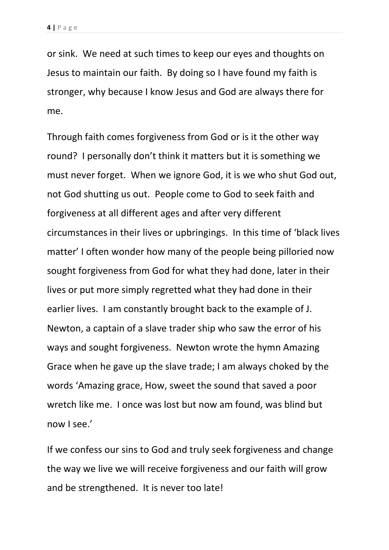or sink. We need at such times to keep our eyes and thoughts on Jesus to maintain our faith. By doing so I have found my faith is stronger, why because I know Jesus and God are always there for me.

Through faith comes forgiveness from God or is it the other way round? I personally don't think it matters but it is something we must never forget. When we ignore God, it is we who shut God out, not God shutting us out. People come to God to seek faith and forgiveness at all different ages and after very different circumstances in their lives or upbringings. In this time of 'black lives matter' I often wonder how many of the people being pilloried now sought forgiveness from God for what they had done, later in their lives or put more simply regretted what they had done in their earlier lives. I am constantly brought back to the example of J. Newton, a captain of a slave trader ship who saw the error of his ways and sought forgiveness. Newton wrote the hymn Amazing Grace when he gave up the slave trade; I am always choked by the words 'Amazing grace, How, sweet the sound that saved a poor wretch like me. I once was lost but now am found, was blind but now I see.'

If we confess our sins to God and truly seek forgiveness and change the way we live we will receive forgiveness and our faith will grow and be strengthened. It is never too late!